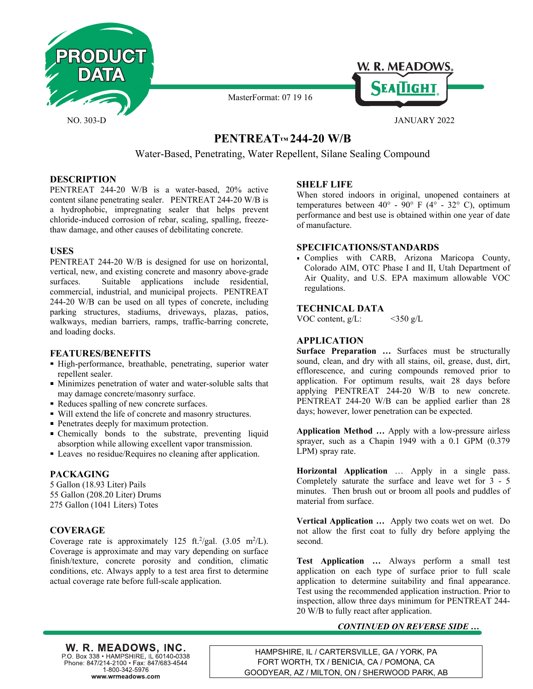



# **PENTREAT**™ 244-20 W/B

MasterFormat: 07 19 16

Water-Based, Penetrating, Water Repellent, Silane Sealing Compound

## **DESCRIPTION**

PENTREAT 244-20 W/B is a water-based, 20% active content silane penetrating sealer. PENTREAT 244-20 W/B is a hydrophobic, impregnating sealer that helps prevent chloride-induced corrosion of rebar, scaling, spalling, freezethaw damage, and other causes of debilitating concrete.

## **USES**

PENTREAT 244-20 W/B is designed for use on horizontal, vertical, new, and existing concrete and masonry above-grade surfaces. Suitable applications include residential, commercial, industrial, and municipal projects. PENTREAT 244-20 W/B can be used on all types of concrete, including parking structures, stadiums, driveways, plazas, patios, walkways, median barriers, ramps, traffic-barring concrete, and loading docks.

#### **FEATURES/BENEFITS**

- High-performance, breathable, penetrating, superior water repellent sealer.
- Minimizes penetration of water and water-soluble salts that may damage concrete/masonry surface.
- Reduces spalling of new concrete surfaces.
- Will extend the life of concrete and masonry structures.
- **Penetrates deeply for maximum protection.**
- Chemically bonds to the substrate, preventing liquid absorption while allowing excellent vapor transmission.
- Leaves no residue/Requires no cleaning after application.

## **PACKAGING**

5 Gallon (18.93 Liter) Pails 55 Gallon (208.20 Liter) Drums 275 Gallon (1041 Liters) Totes

## **COVERAGE**

Coverage rate is approximately 125 ft.<sup>2</sup>/gal.  $(3.05 \text{ m}^2/\text{L})$ . Coverage is approximate and may vary depending on surface finish/texture, concrete porosity and condition, climatic conditions, etc. Always apply to a test area first to determine actual coverage rate before full-scale application.

## **SHELF LIFE**

When stored indoors in original, unopened containers at temperatures between  $40^{\circ}$  -  $90^{\circ}$  F (4° - 32° C), optimum performance and best use is obtained within one year of date of manufacture.

#### **SPECIFICATIONS/STANDARDS**

Complies with CARB, Arizona Maricopa County, Colorado AIM, OTC Phase I and II, Utah Department of Air Quality, and U.S. EPA maximum allowable VOC regulations.

## **TECHNICAL DATA**

VOC content,  $g/L$ : <350  $g/L$ 

# **APPLICATION**

**Surface Preparation …** Surfaces must be structurally sound, clean, and dry with all stains, oil, grease, dust, dirt, efflorescence, and curing compounds removed prior to application. For optimum results, wait 28 days before applying PENTREAT 244-20 W/B to new concrete. PENTREAT 244-20 W/B can be applied earlier than 28 days; however, lower penetration can be expected.

**Application Method …** Apply with a low-pressure airless sprayer, such as a Chapin 1949 with a 0.1 GPM  $(0.379)$ LPM) spray rate.

**Horizontal Application** … Apply in a single pass. Completely saturate the surface and leave wet for 3 - 5 minutes. Then brush out or broom all pools and puddles of material from surface.

**Vertical Application …** Apply two coats wet on wet. Do not allow the first coat to fully dry before applying the second.

**Test Application …** Always perform a small test application on each type of surface prior to full scale application to determine suitability and final appearance. Test using the recommended application instruction. Prior to inspection, allow three days minimum for PENTREAT 244- 20 W/B to fully react after application.

# *CONTINUED ON REVERSE SIDE …*

W. R. MEADOWS, INC. P.O. Box 338 • HAMPSHIRE, IL 60140-0338<br>Phone: 847/214-2100 • Fax: 847/683-4544 1-800-342-5976 www.wrmeadows.com

HAMPSHIRE, IL / CARTERSVILLE, GA / YORK, PA FORT WORTH, TX / BENICIA, CA / POMONA, CA GOODYEAR, AZ / MILTON, ON / SHERWOOD PARK, AB